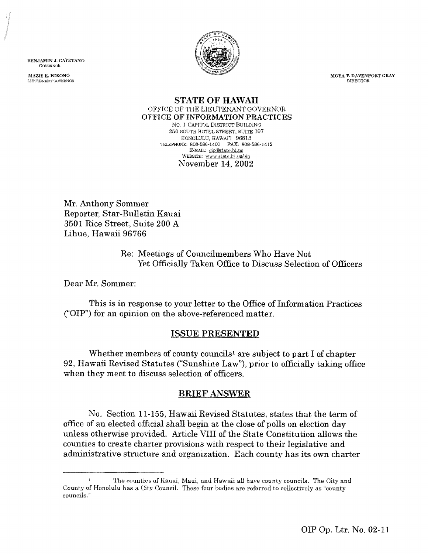BENJAMIN J. CAYETANO (30VERNOR

MAZIE K. HIRONO LIEETENNNT GOVERNOR



**MOYA T. DAVENPORT GRAY** DIRECTOR

#### **STATE OF HAWAII** OFFICE OF THE LIEUTENANT GOVERNOR **OFFICE OF INFORMATION PRACTICES** No. l CAPITOL DISTRICT BUILDING 250 SOUTH HOTEL STREET, SUITE 107 HONOLULU, HAWAI'I 96813 TELEPHONE: 808-586-1400 FAX: 808-586-1412 E-MAIL: cip@atate.hi.us WEBSITE: www.state.hi.us/oip November 14, 2002

Mr. Anthony Sommer Reporter, Star-Bulletin Kauai 3501 Rice Street, Suite 200 A Lihue, Hawaii 96766

> Re: Meetings of Councilmembers Who Have Not Yet Officially Taken Office to Discuss Selection of Officers

Dear Mr. Sommer:

This is in response to your letter to the Office of Information Practices ("OIP") for an opinion on the above-referenced matter.

# ISSUE PRESENTED

Whether members of county councils<sup>1</sup> are subject to part I of chapter 92, Hawaii Revised Statutes ("Sunshine Law"), prior to officially taking office when they meet to discuss selection of officers.

# BRIEF ANSWER

No. Section 11-155, Hawaii Revised Statutes, states that the term of office of an elected official shall begin at the close of polls on election day unless otherwise provided. Article VIII of the State Constitution allows the counties to create charter provisions with respect to their legislative and administrative structure and organization. Each county has its own charter

<sup>&</sup>lt;sup>1</sup> The counties of Kauai, Maui, and Hawaii all have county councils. The City and County of Honolulu has a City Council. These four bodies are referred to collectively as "county councils."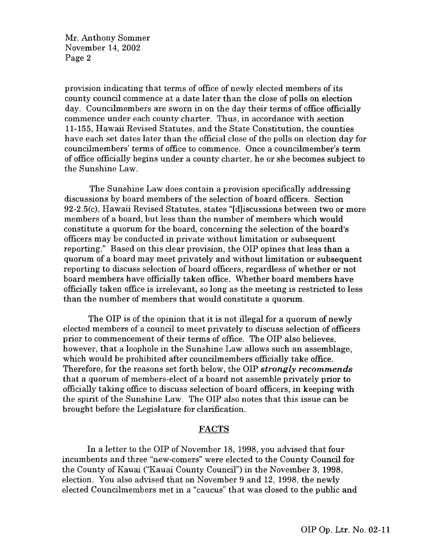provision indicating that terms of office of newly elected members of its county council commence at a date later than the close of polls on election day. Councilmembers are sworn in on the day their terms of office officially commence under each county charter. Thus, in accordance with section 11-155, Hawaii Revised Statutes, and the State Constitution, the counties have each set dates later than the official close of the polls on election day for councilmembers' terms of office to commence. Once a councilmember's term of office officially begins under a county charter, he or she becomes subject to the Sunshine Law.

The Sunshine Law does contain a provision specifically addressing discussions by board members of the selection of board officers. Section 92-2.5(c). Hawaii Revised Statutes, states "[d]iscussions between two or more members of a board, but less than the number of members which would constitute a quorum for the board, concerning the selection of the board's officers may be conducted in private without limitation or subsequent reporting." Based on this clear provision, the OIP opines that less than a quorum of a board may meet privately and without limitation or subsequent reporting to discuss selection of board officers, regardless of whether or not board members have officially taken office. Whether board members have officially taken office is irrelevant, so long as the meeting is restricted to *less* than the number of members that would constitute a quorum.

The OIP is of the opinion that it is not illegal for a quorum of newly elected members of a council to meet privately to discuss selection of officers prior to commencement of their terms of office. The OIP also believes, however, that a loophole in the Sunshine Law allows such an assemblage, which would be prohibited after councilmembers officially take office. Therefore, for the reasons set forth below, the OIP *strongly recommends* that a quorum of members-elect of a board not assemble privately prior to officially taking office to discuss selection of board officers, in keeping with the spirit of the Sunshine Law\_ The OIP also notes that this issue can be brought before the Legislature for clarification.

#### FACTS

In a letter to the OIP of November 18, 1998, you advised that four incumbents and three "new-comers" were elected to the County Council for the County of Kauai ("Kauai County Council") in the November 3, 1998, election. You also advised that on November 9 and 12, 1998, the newly elected Councilmembers met in a "caucus" that was closed to the public and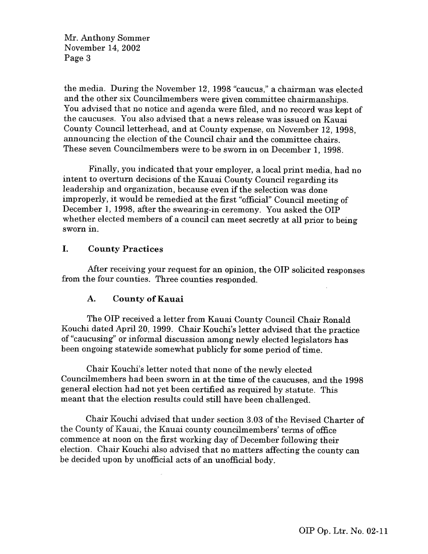the media. During the November 12, 1998 "caucus," a chairman was elected and the other six Councilmembers were given committee chairmanships. You advised that no notice and agenda were filed, and no record was kept of the caucuses. You also advised that a news release was issued on Kauai County Council letterhead, and at County expense, on November 12, 1998, announcing the election of the Council chair and the committee chairs. These seven Councilmembers were to be sworn in on December 1, 1998.

Finally, you indicated that your employer, a local print media, had no intent to overturn decisions of the Kauai County Council regarding its leadership and organization, because even if the selection was done improperly, it would be remedied at the first "official" Council meeting of December 1, 1998, after the swearing-in ceremony. You asked the OIP whether elected members of a council can meet secretly at all prior to being sworn in.

### **I.** County Practices

After receiving your request for an opinion, the OIP solicited responses from the four counties. Three counties responded.

#### **A. County of Kauai**

The OIP received a letter from Kauai County Council Chair Ronald Kouchi dated April 20, 1999. Chair Kouchi's letter advised that the practice of "caucusing' or informal discussion among newly elected legislators has been ongoing statewide somewhat publicly for some period of time.

Chair Kouchi's letter noted that none of the newly elected Councilmembers had been sworn in at the time of the caucuses, and the 1998 general election had not yet been certified as required by statute. This meant that the election results could still have been challenged.

Chair Kouchi advised that under section 3.03 of the Revised Charter of the County of Kauai, the Kauai county councilmembers' terms of office commence at noon on the first working day of December following their election. Chair Kouchi also advised that no matters affecting the county can be decided upon by unofficial acts of an unofficial body.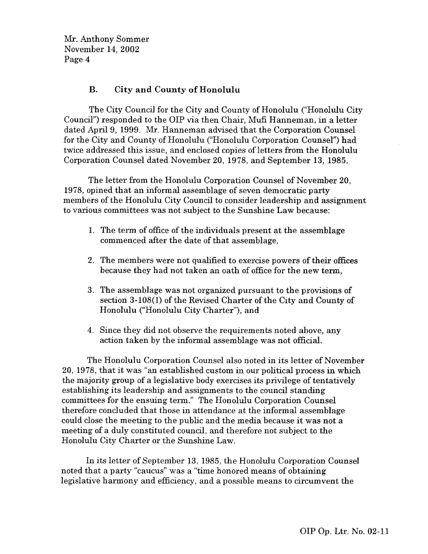# **B. City and County of Honolulu**

The City Council for the City and County of Honolulu ("Honolulu City Council") responded to the OIP via then Chair, Mufi Hanneman, in a letter dated April 9, 1999. Mr. Hanneman advised that the Corporation Counsel for the City and County of Honolulu ("Honolulu Corporation Counsel") had twice addressed this issue, and enclosed copies of letters from the Honolulu Corporation Counsel dated November 20, 1978, and September 13, 1985.

The letter from the Honolulu Corporation Counsel of November 20, 1978, opined that an informal assemblage of seven democratic party members of the Honolulu City Council to consider leadership and assignment to various committees was not subject to the Sunshine Law because:

- 1. The term of office of the individuals present at the assemblage commenced after the date of that assemblage,
- 2. The members were not qualified to exercise powers of their offices because they had not taken an oath of office for the new term,
- 3. The assemblage was not organized pursuant to the provisions of section 3-108(1) of the Revised Charter of the City and County of Honolulu ("Honolulu City Charter"), and
- 4. Since they did not observe the requirements noted above, any action taken by the informal assemblage was not official.

The Honolulu Corporation Counsel also noted in its letter of November 20, 1978, that it was "an established custom in our political process **in** which the majority group of a legislative body exercises its privilege of tentatively establishing its leadership and assignments to the council standing committees for the ensuing term." The Honolulu Corporation Counsel therefore concluded that those in attendance at the informal assemblage could close the meeting to the public and the media because it was not a meeting of a duly constituted council, and therefore not subject to the Honolulu City Charter or the Sunshine Law.

In its letter of September 13, 1985, the Honolulu Corporation Counsel noted that a party "caucus" was a "time honored means of obtaining legislative harmony and efficiency, and a possible means to circumvent the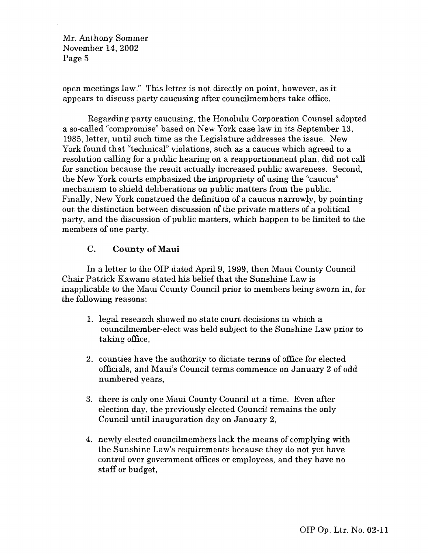open meetings law." This letter is not directly on point, however, as it appears to discuss party caucusing after councilmembers take office.

Regarding party caucusing, the Honolulu Corporation Counsel adopted a so-called "compromise" based on New York case law in its September 13, 1985, letter, until such time as the Legislature addresses the issue. New York found that "technical" violations, such as a caucus which agreed to a resolution calling for a public hearing on a reapportionment plan, did not call for sanction because the result actually increased public awareness. Second, the New York courts emphasized the impropriety of using the "caucus" mechanism to shield deliberations on public matters from the public. Finally, New York construed the definition of a caucus narrowly, by pointing out the distinction between discussion of the private matters of a political party, and the discussion of public matters, which happen to be limited to the members of one party.

# C. County of Maui

In a letter to the OIP dated April 9, 1999, then Maui County Council Chair Patrick Kawano stated his belief that the Sunshine Law is inapplicable to the Maui County Council prior to members being sworn in, for the following reasons:

- 1. legal research showed no state court decisions in which a councilmember-elect was held subject to the Sunshine Law prior to taking office,
- 2. counties have the authority to dictate terms of office for elected officials, and Maui's Council terms commence on January 2 of odd numbered years,
- 3. there is only one Maui County Council at a time. Even after election day, the previously elected Council remains the only Council until inauguration day on January 2,
- 4. newly elected councilmembers lack the means of complying with the Sunshine Law's requirements because they do not yet have control over government offices or employees, and they have no staff or budget,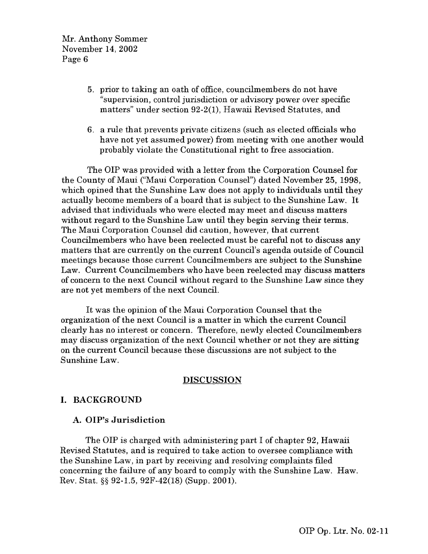- 5. prior to taking an oath of office, councilmembers do not have "supervision, control jurisdiction or advisory power over specific matters" under section 92-2(1), Hawaii Revised Statutes, and
- 6. a rule that prevents private citizens (such as elected officials who have not yet assumed power) from meeting with one another would probably violate the Constitutional right to free association.

The OIP was provided with a letter from the Corporation Counsel for the County of Maui ("Maui Corporation Counsel") dated November 25, 1998, which opined that the Sunshine Law does not apply to individuals until they actually become members of a board that is subject to the Sunshine Law. It advised that individuals who were elected may meet and discuss matters without regard to the Sunshine Law until they begin serving their terms. The Maui Corporation Counsel did caution, however, that current Councilmembers who have been reelected must be careful not to discuss any matters that are currently on the current Council's agenda outside of Council meetings because those current Councilmembers are subject to the Sunshine Law. Current Councilmembers who have been reelected may discuss matters of concern to the next Council without regard to the Sunshine Law since they are not yet members of the next Council.

It was the opinion of the Maui Corporation Counsel that the organization of the next Council is a matter in which the current Council clearly has no interest or concern. Therefore, newly elected Councilmembers may discuss organization of the next Council whether or not they are sitting on the current Council because these discussions are not subject to the Sunshine Law.

# **DISCUSSION**

# **I. BACKGROUND**

# **A. OIP's Jurisdiction**

The OIP is charged with administering part I of chapter 92, Hawaii Revised Statutes, and is required to take action to oversee compliance with the Sunshine Law, in part by receiving and resolving complaints filed concerning the failure of any board to comply with the Sunshine Law. Haw. Rev. Stat. §§ 92-1.5, 92F-42(18) (Supp. 2001).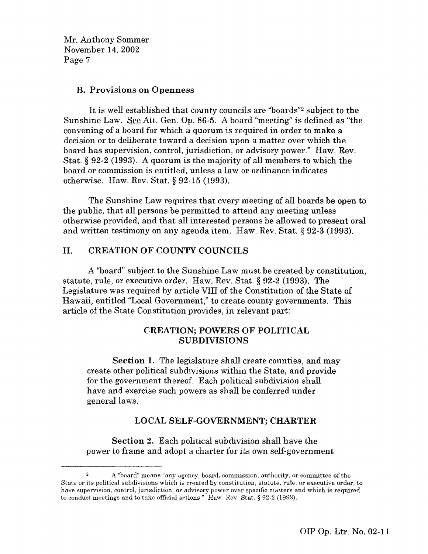### **B. Provisions on Openness**

It is well established that county councils are "boards"<sup>2</sup> subject to the Sunshine Law. See Att. Gen. Op. 86-5. A board "meeting" is defined as "the convening of a board for which a quorum is required in order to make a decision or to deliberate toward a decision upon a matter over which the board has supervision, control, jurisdiction, or advisory power." Haw. Rev. Stat. § 92-2 (1993). A quorum is the majority of all members to which the board or commission is entitled, unless a law or ordinance indicates otherwise. Haw. Rev. Stat. § 92-15 (1993).

The Sunshine Law requires that every meeting of all boards be open to the public, that all persons be permitted to attend any meeting unless otherwise provided, and that all interested persons be allowed to present oral and written testimony on any agenda item. Haw. Rev. Stat. § 92-3 (1993).

# **II. CREATION OF COUNTY COUNCILS**

A "board" subject to the Sunshine Law must be created by constitution, statute, rule, or executive order. Haw. Rev. Stat. § 92-2 (1993). The Legislature was required by article VIII of the Constitution of the State of Hawaii, entitled "Local Government," to create county governments. This article of the State Constitution provides, in relevant part:

# **CREATION; POWERS OF POLITICAL SUBDIVISIONS**

**Section 1.** The legislature shall create counties, and may create other political subdivisions within the State, and provide for the government thereof. Each political subdivision shall have and exercise such powers as shall be conferred under general laws.

# LOCAL SELF-GOVERNMENT; CHARTER

Section 2. Each political subdivision shall have the power to frame and adopt a charter for its own self-government

A "board" means "any agency, board, commission, authority, or committee of the State or its political subdivisions which is created by constitution, statute, rule, or executive order, to have supervision, control, jurisdiction, or advisory power over specific matters and which is required to conduct meetings and to take official actions." Haw, Rev. Stat. § 92-2 (1993).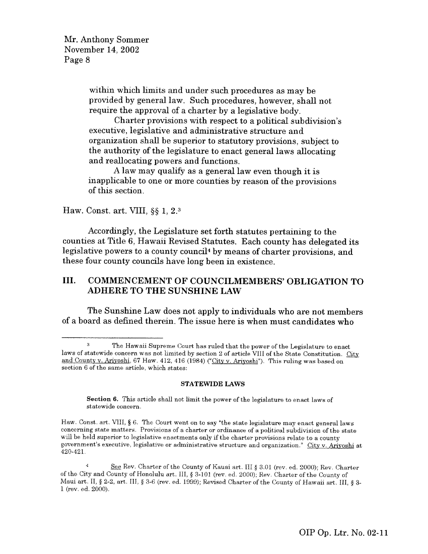> within which limits and under such procedures as may be provided by general law. Such procedures, however, shall not require the approval of a charter by a legislative body.

Charter provisions with respect to a political subdivision's executive, legislative and administrative structure and organization shall be superior to statutory provisions, subject to the authority of the legislature to enact general laws allocating and reallocating powers and functions.

A law may qualify as a general law even though it is inapplicable to one or more counties by reason of the provisions of this section.

#### Haw. Const. art. VIII, §§ 1, 2. <sup>3</sup>

Accordingly, the Legislature set forth statutes pertaining to the counties at Title 6, Hawaii Revised Statutes. Each county has delegated its legislative powers to a county council4 by means of charter provisions, and these four county councils have long been **in existence.**

# **III. COMMENCEMENT OF COUNCILMEMBERS' OBLIGATION TO ADHERE TO THE SUNSHINE LAW**

The Sunshine Law does not apply to individuals who are not members of a board as defined therein. The issue here is when must candidates who

#### **STATEWIDE LAWS**

**Section 6.** This article shall not limit the power of the legislature to enact laws of statewide concern.

Haw. Const. art. VIII, § 6, The Court went on to say "the state legislature may enact general laws concerning state matters. Provisions of a charter or ordinance of a political subdivision of the state will be held superior to legislative enactments only if the charter provisions relate to a county government's executive, legislative or administrative structure and organization." City v. Arivoshi at 420-421.

<sup>3</sup> The Hawaii Supreme Court has ruled that the power of the Legislature to enact laws of statewide concern was not limited by section 2 of article VIII of the State Constitution. City and County v. Ariyoshi, 67 Haw. 412, 416 (1984) ("City v. Ariyoshi"). This ruling was based on section 6 of the same article, which states:

<sup>4</sup> *See* Rev. Charter of the County of Kauai art. III § 3.01 (rev. ed. 2000); Rev. Charter of the City and County of Honolulu art. III, § 3-101 (rev. ed. 2000): Rev. Charter of the County of Maui art. II, § 2-2, art. III, § 3-6 (rev. ed. 1999); Revised Charter of the County of Hawaii art. III, § 3- 1 (rev. ed. 2000).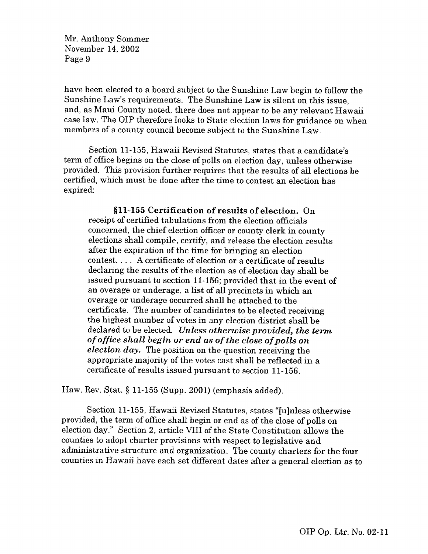have been elected to a board subject to the Sunshine Law begin to follow the Sunshine Law's requirements. The Sunshine Law **is** silent on this issue, and, as Maui County noted, there does not appear to be any relevant Hawaii case law. The OIP therefore looks to State election laws for guidance on when members of a county council become subject to the Sunshine Law.

Section 11-155, Hawaii Revised Statutes, states that a candidate's term of office begins on the close of polls on election day, unless otherwise provided. This provision further requires that the results of all elections be certified, which must be done after the time to contest an election has expired:

**§11-155 Certification of results of election. On** receipt of certified tabulations from the election officials concerned, the chief election officer or county clerk in county elections shall compile, certify, and release the election results after the expiration of the time for bringing an election contest. . . A certificate of election or a certificate of results declaring the results of the election as of election day shall be issued pursuant to section 11-156; provided that in the event of an overage or underage, a list of all precincts in which an overage or underage occurred shall be attached to the certificate. The number of candidates to be elected receiving the highest number of votes in any election district shall be declared to be elected. *Unless otherwise provided, the term of office shall begin or end as of the close of polls on election day.* The position on the question receiving the appropriate majority of the votes cast shall be reflected in a certificate of results issued pursuant to section 11-156.

Haw. Rev. Stat. § 11-155 (Supp. 2001) (emphasis added).

 $\bar{\lambda}$ 

Section 11-155, Hawaii Revised Statutes, states "[u]nless otherwise provided, the term of office shall begin or end as of the close of polls on election day." Section 2, article VIII of the State Constitution allows the counties to adopt charter provisions with respect to legislative and administrative structure and organization. The county charters for the four counties in Hawaii have each set different dates after a general election as to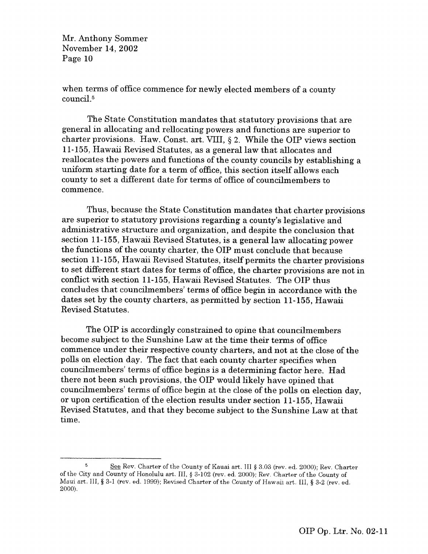when terms of office commence for newly elected members of a county council.'

The State Constitution mandates that statutory provisions that are general in allocating and relocating powers and functions are superior to charter provisions. Haw. Const. art. VIII, § 2. While the OIP views section 11-155, Hawaii Revised Statutes, as a general law that allocates and reallocates the powers and functions of the county councils by establishing a uniform starting date for a term of office, this section itself allows each county to set a different date for terms of office of councilmembers to commence.

Thus, because the State Constitution mandates that charter provisions are superior to statutory provisions regarding a county's legislative and administrative structure and organization, and despite the conclusion that section 11-155, Hawaii Revised Statutes, is a general law allocating power the functions of the county charter, the OIP must conclude that because section 11-155, Hawaii Revised Statutes, itself permits the charter provisions to set different start dates for terms of office, the charter provisions are not in conflict with section 11-155, Hawaii Revised Statutes. The OIP thus concludes that councilmembers' terms of office begin in accordance with the dates set by the county charters, as permitted by section 11-155, Hawaii Revised Statutes.

The OIP **is** accordingly constrained to opine that councilmembers become subject to the Sunshine Law at the time their terms of office commence under their respective county charters, and not at the close of the polls on election day. The fact that each county charter specifies when councilmembers' terms of office begins is a determining factor here. Had there not been such provisions, the OIP would likely have opined that councilmembers' terms of office begin at the close of the polls on election day, or upon certification of the election results under section 11-155, Hawaii Revised Statutes, and that they become subject to the Sunshine Law at that time.

See Rev. Charter of the County of Kauai art. III § 3.03 (rev. ed. 2000); Rev. Charter of the City and County of Honolulu art. III, § 3-102 (rev. ed. 2000); Rev. Charter of the County of Maui art. III, § 3-1 (rev. ed. 1999); Revised Charter of the County of Hawaii art. III, § 3-2 (rev. ed. 2000).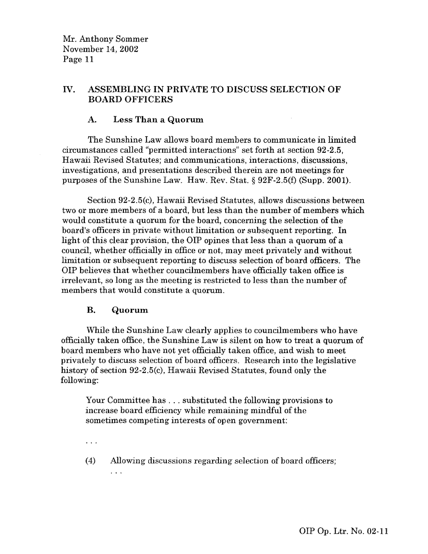# **IV. ASSEMBLING IN PRIVATE TO DISCUSS SELECTION OF BOARD OFFICERS**

# **A. Less Than a Quorum**

The Sunshine Law allows board members to communicate in limited circumstances called "permitted interactions" set forth at section 92-2.5, Hawaii Revised Statutes; and communications, interactions, discussions, investigations, and presentations described therein are not meetings for purposes of the Sunshine Law. Haw. Rev. Stat. § 92F-2.5(f) (Supp. 2001).

 $\mathcal{A}^{\mathcal{A}}$ 

Section 92-2.5(c), Hawaii Revised Statutes, allows discussions between two or more members of a board, but less than the number of members which would constitute a quorum for the board, concerning the selection of the board's officers in private without limitation or subsequent reporting. In light of this clear provision, the OIP opines that less than a quorum of a council, whether officially **in** office or not, may meet privately and without limitation or subsequent reporting to discuss selection of board officers. The OIP believes that whether councilmembers have officially taken office is irrelevant, so long as the meeting is restricted to less than the number of members that would constitute a quorum.

# **B. Quorum**

While the Sunshine Law clearly applies to councilmembers who have officially taken office, the Sunshine Law is silent on how to treat a quorum of board members who have not yet officially taken office, and wish to meet privately to discuss selection of board officers. Research into the legislative history of section 92-2.5(c), Hawaii Revised Statutes, found only the following:

Your Committee has . . . substituted the following provisions to increase board efficiency while remaining mindful of the sometimes competing interests of open government:

 $\ddotsc$ 

 $\mathbf{1}$ 

(4) Allowing discussions regarding selection of board officers;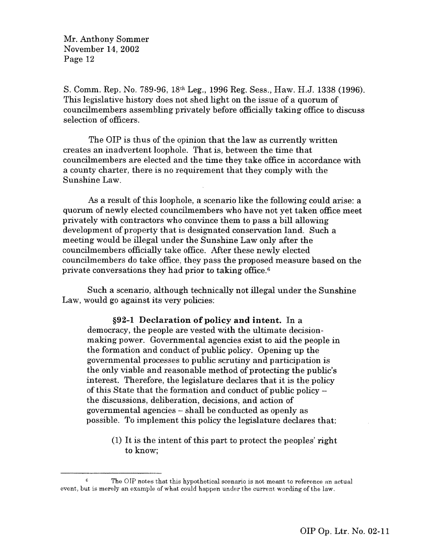S. Comm. Rep. No. 789-96, 18th Leg., 1996 Reg. Sess., Haw. H.J. 1338 (1996). This legislative history does not shed light on the issue of a quorum of councilmembers assembling privately before officially taking office to discuss selection of officers.

The OIP is thus of the opinion that the law as currently written creates an inadvertent loophole. That is, between the time that councilmembers are elected and the time they take office in accordance with a county charter, there is no requirement that they comply with the Sunshine Law.

As a result of this loophole, a scenario like the following could arise: a quorum of newly elected councilmembers who have not yet taken office meet privately with contractors who convince them to pass a bill allowing development of property that is designated conservation land. Such a meeting would be illegal under the Sunshine Law only after the councilmembers officially take office. After these newly elected councilmembers do take office, they pass the proposed measure based on the private conversations they had prior to taking office.<sup>6</sup>

Such a scenario, although technically not illegal under the Sunshine Law, would go against its very **policies:**

**§92-1 Declaration of policy and intent. In a** democracy, the people are vested with the ultimate decisionmaking power. Governmental agencies exist to aid the people in the formation and conduct of public policy. Opening up the governmental processes to public scrutiny and participation is the only viable and reasonable method of protecting the public's interest. Therefore, the legislature declares that it is the policy of this State that the formation and conduct of public policy – the discussions, deliberation, decisions, and action of governmental agencies – shall be conducted as openly as possible. To implement this policy the legislature declares that:

(1) It is the intent of this part to protect the peoples' right to know;

 $\hat{\kappa}$ The OIP notes that this hypothetical scenario is not meant to reference an actual event, but is merely an example of what could happen under the current wording of the law.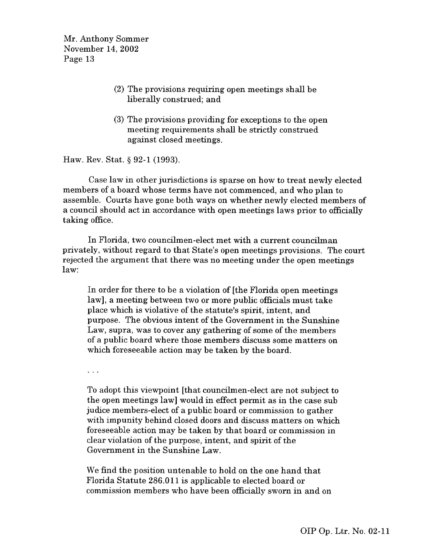- (2) The provisions requiring open meetings shall be liberally construed; and
- (3) The provisions providing for exceptions to the open meeting requirements shall be strictly construed against closed meetings.

Haw. Rev. Stat. § 92-1 (1993).

Case law in other jurisdictions is sparse on how to treat newly elected members of a board whose terms have not commenced, and who plan to assemble. Courts have gone both ways on whether newly elected members of a council should act in accordance with open meetings laws prior to officially taking office.

In Florida, two councilmen-elect met with a current councilman privately, without regard to that State's open meetings provisions. The court rejected the argument that there was no meeting under the open meetings law:

In order for there to be a violation of [the Florida open meetings law], a meeting between two or more public officials must take place which is violative of the statute's spirit, intent, and purpose. The obvious intent of the Government in the Sunshine Law, supra, was to cover any gathering of some of the members of a public board where those members discuss some matters on which foreseeable action may be taken by the board.

 $\sim 100$ 

To adopt this viewpoint [that councilmen-elect are not subject to the open meetings law] would in effect permit as in the case sub judice members-elect of a public board or commission to gather with impunity behind closed doors and discuss matters on which foreseeable action may be taken by that board or commission in clear violation of the purpose, intent, and spirit of the Government in the Sunshine Law.

We find the position untenable to hold on the one hand that Florida Statute 286.011 is applicable to elected board or commission members who have been officially sworn in and on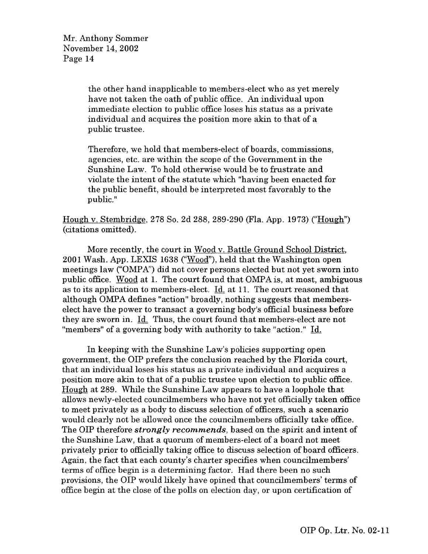the other hand inapplicable to members-elect who as yet merely have not taken the oath of public office. An individual upon immediate election to public office loses his status as a private individual and acquires the position more akin to that of a public trustee.

Therefore, we hold that members-elect of boards, commissions, agencies, etc. are within the scope of the Government in the Sunshine Law. To hold otherwise would be to frustrate and violate the intent of the statute which "having been enacted for the public benefit, should be interpreted most favorably to the public."

Hough v. Stembridge, 278 So. 2d 288, 289-290 (Fla. App. 1973) ("Hough") (citations omitted).

More recently, the court in Wood v. Battle Ground School District, 2001 Wash. App. LEXIS 1638 ("Wood"), held that the Washington open meetings law ("OMPA") did not cover persons elected but not yet sworn into public office. Wood at 1. The court found that OMPA is, at most, ambiguous as to its application to members-elect. Id. at 11. The court reasoned that although OMPA defines "action" broadly, nothing suggests that memberselect have the power to transact a governing body's official business before they are sworn in. Id. Thus, the court found that members-elect are not "members" of a governing body with authority to take "action." Id.

In keeping with the Sunshine Law's policies supporting open government, the OIP prefers the conclusion reached by the Florida court, that an individual loses his status as a private individual and acquires a position more akin to that of a public trustee upon election to public office. Hough at 289. While the Sunshine Law appears to have a loophole that allows newly-elected councilmembers who have not yet officially taken office to meet privately as a body to discuss selection of officers, such a scenario would dearly not be allowed once the councilmembers officially take office. The OIP therefore *strongly recommends,* based on the spirit and intent of the Sunshine Law, that a quorum of members-elect of a board not meet privately prior to officially taking office to discuss selection of board officers. Again, the fact that each county's charter specifies when councilmembers' terms of office begin is a determining factor. Had there been no such provisions, the OIP would likely have opined that councilmembers' terms of office begin at the close of the polls on election day, or upon certification of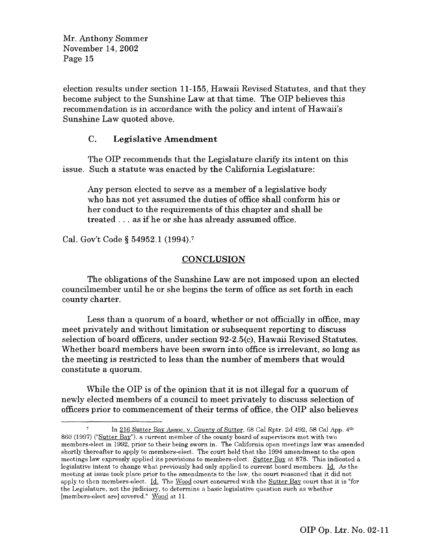election results under section 11-155, Hawaii Revised Statutes, and that they become subject to the Sunshine Law at that time. The OIP believes this recommendation is in accordance with the policy and intent of Hawaii's Sunshine Law quoted above.

# C. **Legislative Amendment**

The OIP recommends that the Legislature clarify its intent on this issue. Such a statute was enacted by the California Legislature:

Any person elected to serve as a member of a legislative body who has not yet assumed the duties of office shall conform his or her conduct to the requirements of this chapter and shall be treated . . . as if he or she has already assumed office.

Cal. Gov't Code § 54952.1 (1994). <sup>7</sup>

# CONCLUSION

The obligations of the Sunshine Law are not imposed upon an elected councilmember until he or she begins the term of office as set forth in each county charter.

Less than a quorum of a board, whether or not officially in office, may meet privately and without limitation or subsequent reporting to discuss selection of board officers, under section 92-2.5(c), Hawaii Revised Statutes. Whether board members have been sworn into office is irrelevant, so long as the meeting is restricted to less than the number of members that would constitute a quorum.

While the OIP is of the opinion that it is not illegal for a quorum of newly elected members of a council to meet privately to discuss selection of officers prior to commencement of their terms of office, the OIP also believes

In 216 Sutter Bay Assoc. v. County of Sutter, 68 Cal Rptr. 2d 492, 58 Cal App. 4th 860 (1997) (Sutter Bay"), a current member of the county board of supervisors met with two members-elect in 1992, prior to their being sworn in. The California open meetings law was amended shortly thereafter to apply to members-elect. The court held that the 1994 amendment to the open meetings law expressly applied its provisions to members-elect. Sutter Bay at 878. This indicated a legislative intent to change what previously had only applied to current board members. Id. As the meeting at issue took place prior to the amendments to the law, the court reasoned that it did not apply to then members-elect. Id. The Wood court concurred with the Sutter Bay court that it is "for the Legislature, not the judiciary, to determine a basic legislative question such as whether [members-elect are] covered," Wood at 11.